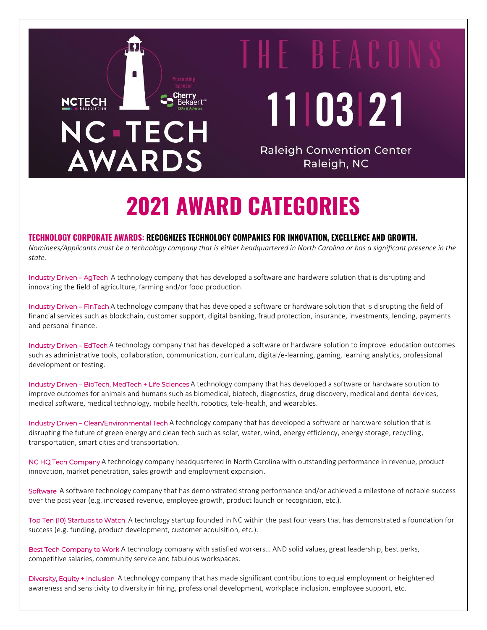# **NCTECH NC-TECH AWARDS**

THE BEACO 11 03 21

**Raleigh Convention Center** Raleigh, NC

# **2021 AWARD CATEGORIES**

## **TECHNOLOGY CORPORATE AWARDS: RECOGNIZES TECHNOLOGY COMPANIES FOR INNOVATION, EXCELLENCE AND GROWTH.**

*Nominees/Applicants must be a technology company that is either headquartered in North Carolina or has a significant presence in the state.*

Industry Driven – AgTech A technology company that has developed a software and hardware solution that is disrupting and innovating the field of agriculture, farming and/or food production.

Industry Driven – FinTech A technology company that has developed a software or hardware solution that is disrupting the field of financial services such as blockchain, customer support, digital banking, fraud protection, insurance, investments, lending, payments and personal finance.

Industry Driven – EdTech A technology company that has developed a software or hardware solution to improve education outcomes such as administrative tools, collaboration, communication, curriculum, digital/e-learning, gaming, learning analytics, professional development or testing.

Industry Driven – BioTech, MedTech + Life Sciences A technology company that has developed a software or hardware solution to improve outcomes for animals and humans such as biomedical, biotech, diagnostics, drug discovery, medical and dental devices, medical software, medical technology, mobile health, robotics, tele-health, and wearables.

Industry Driven – Clean/Environmental Tech A technology company that has developed a software or hardware solution that is disrupting the future of green energy and clean tech such as solar, water, wind, energy efficiency, energy storage, recycling, transportation, smart cities and transportation.

NC HQ Tech Company A technology company headquartered in North Carolina with outstanding performance in revenue, product innovation, market penetration, sales growth and employment expansion.

Software A software technology company that has demonstrated strong performance and/or achieved a milestone of notable success over the past year (e.g. increased revenue, employee growth, product launch or recognition, etc.).

Top Ten (10) Startups to Watch A technology startup founded in NC within the past four years that has demonstrated a foundation for success (e.g. funding, product development, customer acquisition, etc.).

Best Tech Company to Work A technology company with satisfied workers… AND solid values, great leadership, best perks, competitive salaries, community service and fabulous workspaces.

Diversity, Equity + Inclusion A technology company that has made significant contributions to equal employment or heightened awareness and sensitivity to diversity in hiring, professional development, workplace inclusion, employee support, etc.